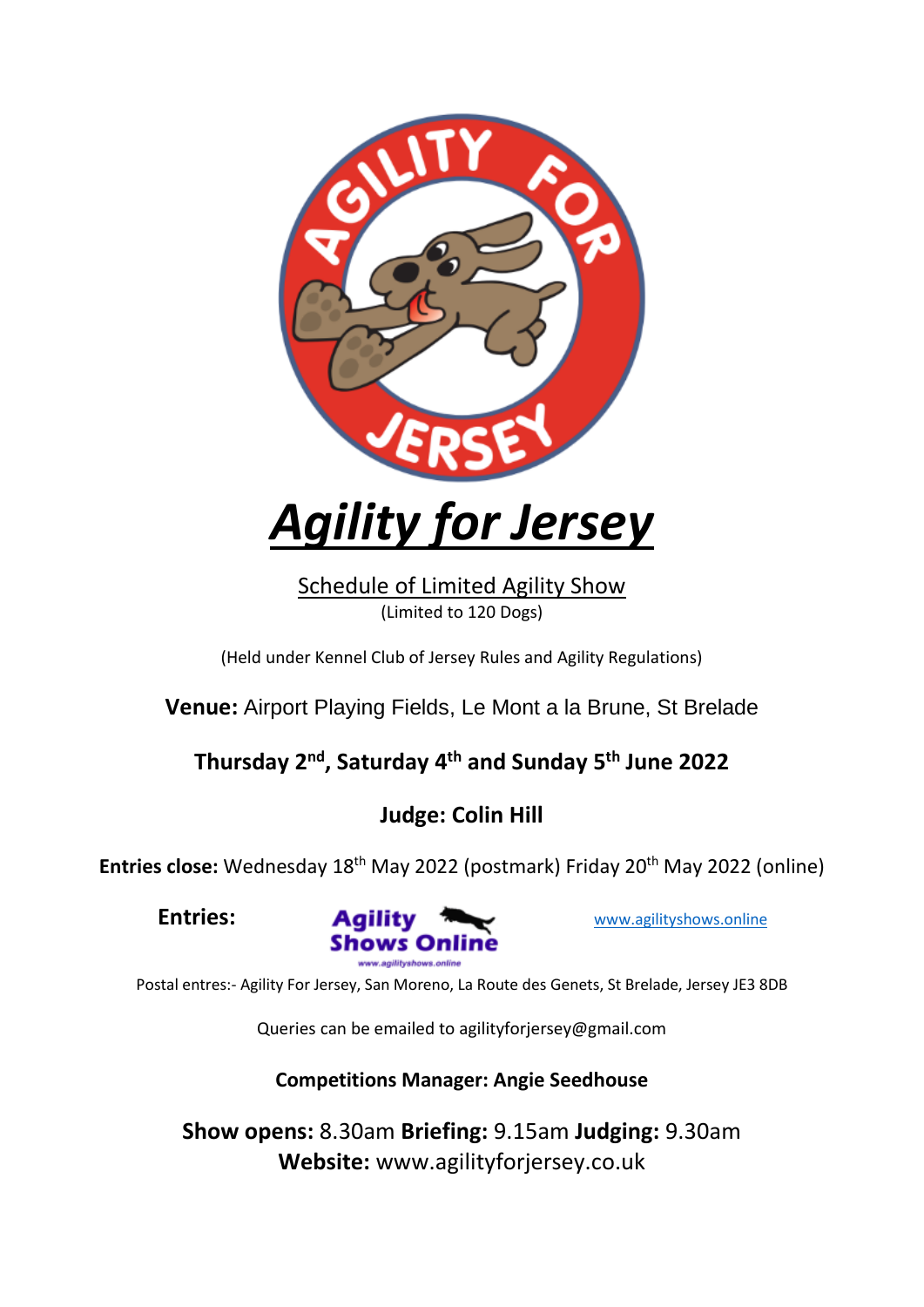

# *Agility for Jersey*

Schedule of Limited Agility Show (Limited to 120 Dogs)

(Held under Kennel Club of Jersey Rules and Agility Regulations)

**Venue:** Airport Playing Fields, Le Mont a la Brune, St Brelade

## **Thursday 2nd, Saturday 4 th and Sunday 5 th June 2022**

## **Judge: Colin Hill**

Entries close: Wednesday 18<sup>th</sup> May 2022 (postmark) Friday 20<sup>th</sup> May 2022 (online)



Postal entres:- Agility For Jersey, San Moreno, La Route des Genets, St Brelade, Jersey JE3 8DB

Queries can be emailed to agilityforjersey@gmail.com

**Competitions Manager: Angie Seedhouse**

**Show opens:** 8.30am **Briefing:** 9.15am **Judging:** 9.30am **Website:** www.agilityforjersey.co.uk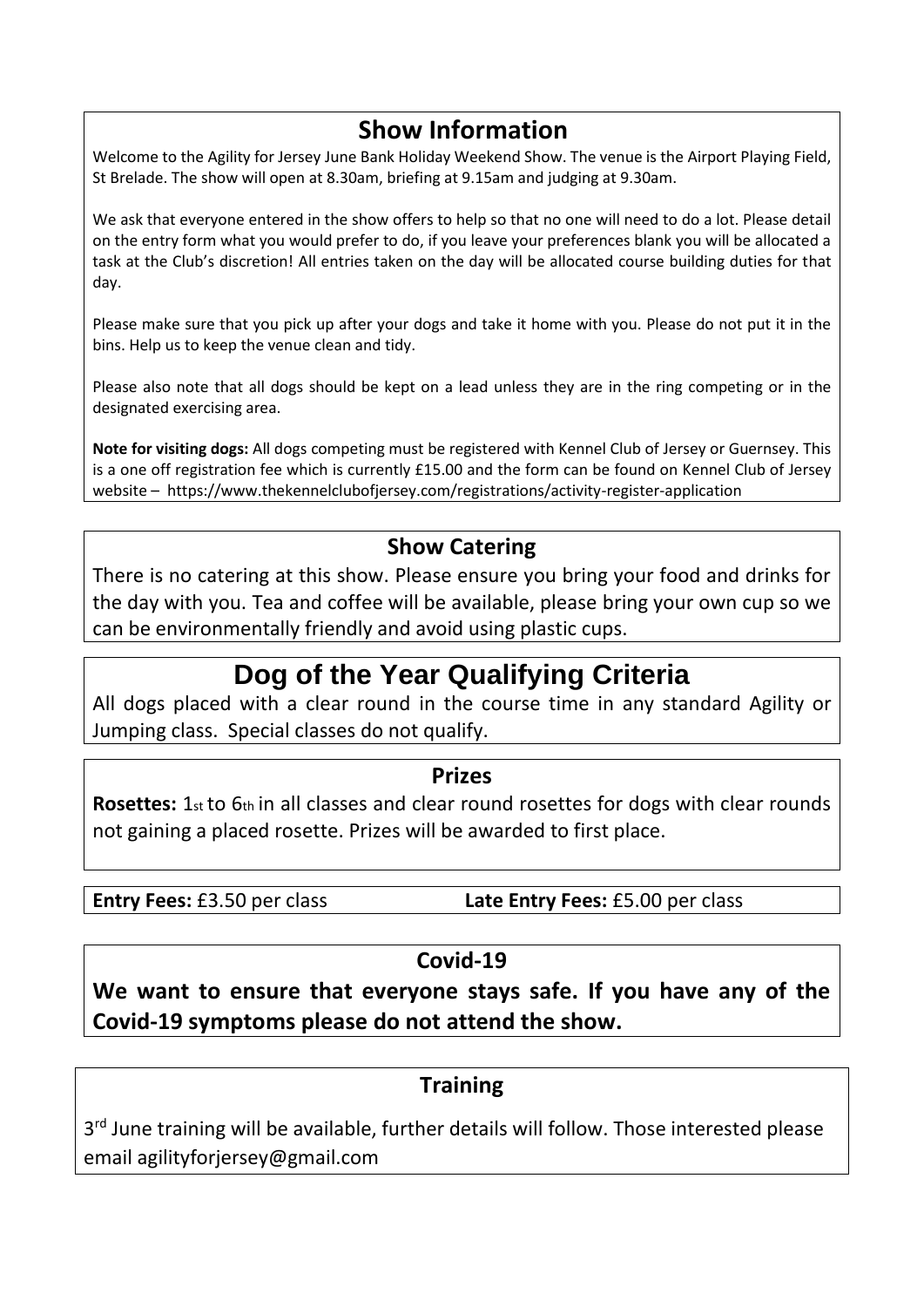### **Show Information**

Welcome to the Agility for Jersey June Bank Holiday Weekend Show. The venue is the Airport Playing Field, St Brelade. The show will open at 8.30am, briefing at 9.15am and judging at 9.30am.

We ask that everyone entered in the show offers to help so that no one will need to do a lot. Please detail on the entry form what you would prefer to do, if you leave your preferences blank you will be allocated a task at the Club's discretion! All entries taken on the day will be allocated course building duties for that day.

Please make sure that you pick up after your dogs and take it home with you. Please do not put it in the bins. Help us to keep the venue clean and tidy.

Please also note that all dogs should be kept on a lead unless they are in the ring competing or in the designated exercising area.

**Note for visiting dogs:** All dogs competing must be registered with Kennel Club of Jersey or Guernsey. This is a one off registration fee which is currently £15.00 and the form can be found on Kennel Club of Jersey website – https://www.thekennelclubofjersey.com/registrations/activity-register-application

### **Show Catering**

There is no catering at this show. Please ensure you bring your food and drinks for the day with you. Tea and coffee will be available, please bring your own cup so we can be environmentally friendly and avoid using plastic cups.

# **Dog of the Year Qualifying Criteria**

All dogs placed with a clear round in the course time in any standard Agility or Jumping class. Special classes do not qualify.

### **Prizes**

**Rosettes:** 1st to 6th in all classes and clear round rosettes for dogs with clear rounds not gaining a placed rosette. Prizes will be awarded to first place.

**Entry Fees:** £3.50 per class **Late Entry Fees:** £5.00 per class

### **Covid-19**

**We want to ensure that everyone stays safe. If you have any of the Covid-19 symptoms please do not attend the show.**

### **Training**

3<sup>rd</sup> June training will be available, further details will follow. Those interested please email agilityforjersey@gmail.com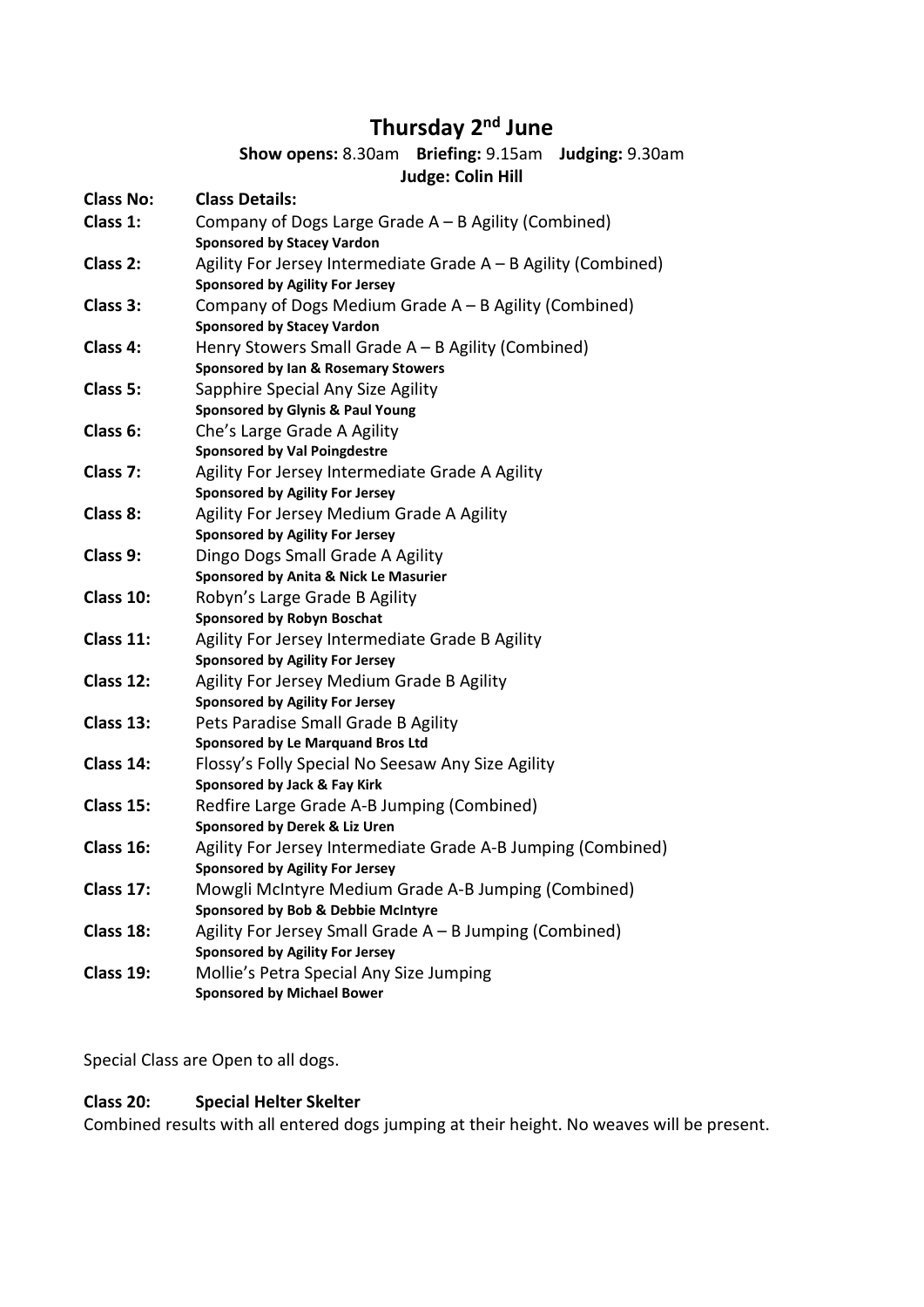### **Thursday 2 nd June**

#### **Show opens:** 8.30am **Briefing:** 9.15am **Judging:** 9.30am **Judge: Colin Hill**

|                  | Juuge. Collii mill                                                        |
|------------------|---------------------------------------------------------------------------|
| <b>Class No:</b> | <b>Class Details:</b>                                                     |
| Class 1:         | Company of Dogs Large Grade A - B Agility (Combined)                      |
|                  | <b>Sponsored by Stacey Vardon</b>                                         |
| Class 2:         | Agility For Jersey Intermediate Grade A - B Agility (Combined)            |
|                  | <b>Sponsored by Agility For Jersey</b>                                    |
| Class 3:         | Company of Dogs Medium Grade $A - B$ Agility (Combined)                   |
|                  | <b>Sponsored by Stacey Vardon</b>                                         |
| Class 4:         | Henry Stowers Small Grade A - B Agility (Combined)                        |
|                  | Sponsored by Ian & Rosemary Stowers                                       |
| Class 5:         | Sapphire Special Any Size Agility                                         |
|                  | <b>Sponsored by Glynis &amp; Paul Young</b>                               |
| Class 6:         | Che's Large Grade A Agility                                               |
|                  | <b>Sponsored by Val Poingdestre</b>                                       |
| Class 7:         | Agility For Jersey Intermediate Grade A Agility                           |
|                  | <b>Sponsored by Agility For Jersey</b>                                    |
| Class 8:         | Agility For Jersey Medium Grade A Agility                                 |
|                  | <b>Sponsored by Agility For Jersey</b>                                    |
| Class 9:         | Dingo Dogs Small Grade A Agility<br>Sponsored by Anita & Nick Le Masurier |
| Class 10:        | Robyn's Large Grade B Agility                                             |
|                  | <b>Sponsored by Robyn Boschat</b>                                         |
| Class 11:        | Agility For Jersey Intermediate Grade B Agility                           |
|                  | <b>Sponsored by Agility For Jersey</b>                                    |
| Class 12:        | Agility For Jersey Medium Grade B Agility                                 |
|                  | <b>Sponsored by Agility For Jersey</b>                                    |
| Class 13:        | Pets Paradise Small Grade B Agility                                       |
|                  | <b>Sponsored by Le Marquand Bros Ltd</b>                                  |
| Class 14:        | Flossy's Folly Special No Seesaw Any Size Agility                         |
|                  | Sponsored by Jack & Fay Kirk                                              |
| Class 15:        | Redfire Large Grade A-B Jumping (Combined)                                |
|                  | Sponsored by Derek & Liz Uren                                             |
| Class 16:        | Agility For Jersey Intermediate Grade A-B Jumping (Combined)              |
|                  | <b>Sponsored by Agility For Jersey</b>                                    |
| Class 17:        | Mowgli McIntyre Medium Grade A-B Jumping (Combined)                       |
|                  | Sponsored by Bob & Debbie McIntyre                                        |
| Class 18:        | Agility For Jersey Small Grade A - B Jumping (Combined)                   |
|                  | <b>Sponsored by Agility For Jersey</b>                                    |
| Class 19:        | Mollie's Petra Special Any Size Jumping                                   |
|                  | <b>Sponsored by Michael Bower</b>                                         |

Special Class are Open to all dogs.

### **Class 20: Special Helter Skelter**

Combined results with all entered dogs jumping at their height. No weaves will be present.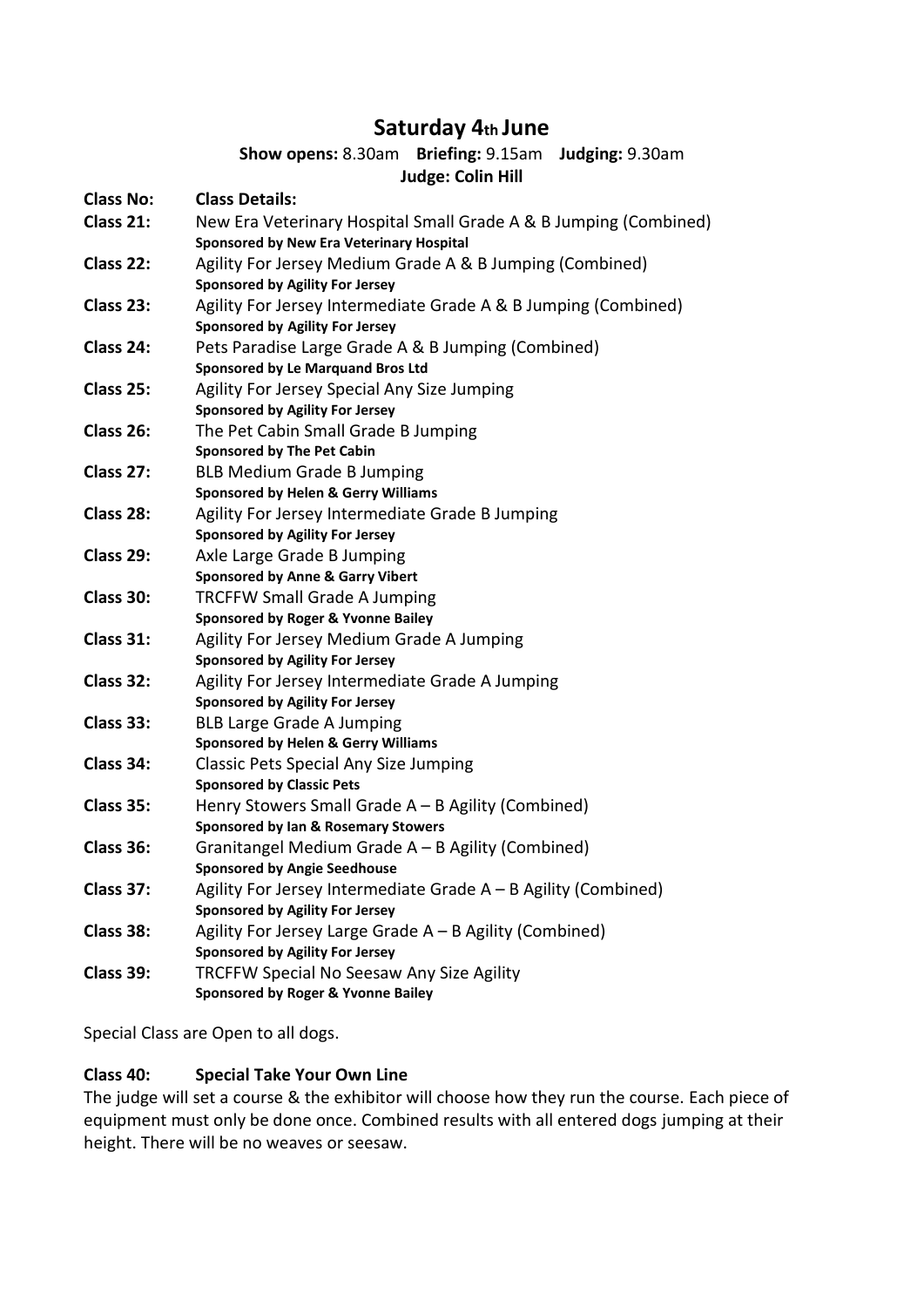### **Saturday 4th June**

#### **Show opens:** 8.30am **Briefing:** 9.15am **Judging:** 9.30am **Judge: Colin Hill**

| <b>Class No:</b> | <b>Class Details:</b>                                                                                               |
|------------------|---------------------------------------------------------------------------------------------------------------------|
| Class 21:        | New Era Veterinary Hospital Small Grade A & B Jumping (Combined)<br><b>Sponsored by New Era Veterinary Hospital</b> |
| Class 22:        | Agility For Jersey Medium Grade A & B Jumping (Combined)<br><b>Sponsored by Agility For Jersey</b>                  |
| Class 23:        | Agility For Jersey Intermediate Grade A & B Jumping (Combined)<br><b>Sponsored by Agility For Jersey</b>            |
| Class 24:        | Pets Paradise Large Grade A & B Jumping (Combined)<br><b>Sponsored by Le Marquand Bros Ltd</b>                      |
| Class 25:        | Agility For Jersey Special Any Size Jumping<br><b>Sponsored by Agility For Jersey</b>                               |
| Class 26:        | The Pet Cabin Small Grade B Jumping<br><b>Sponsored by The Pet Cabin</b>                                            |
| Class 27:        | <b>BLB Medium Grade B Jumping</b><br><b>Sponsored by Helen &amp; Gerry Williams</b>                                 |
| Class 28:        | Agility For Jersey Intermediate Grade B Jumping<br><b>Sponsored by Agility For Jersey</b>                           |
| Class 29:        | Axle Large Grade B Jumping<br><b>Sponsored by Anne &amp; Garry Vibert</b>                                           |
| Class 30:        | <b>TRCFFW Small Grade A Jumping</b><br>Sponsored by Roger & Yvonne Bailey                                           |
| Class 31:        | Agility For Jersey Medium Grade A Jumping<br><b>Sponsored by Agility For Jersey</b>                                 |
| Class 32:        | Agility For Jersey Intermediate Grade A Jumping<br><b>Sponsored by Agility For Jersey</b>                           |
| Class 33:        | <b>BLB Large Grade A Jumping</b><br><b>Sponsored by Helen &amp; Gerry Williams</b>                                  |
| Class 34:        | <b>Classic Pets Special Any Size Jumping</b><br><b>Sponsored by Classic Pets</b>                                    |
| Class 35:        | Henry Stowers Small Grade $A - B$ Agility (Combined)<br>Sponsored by Ian & Rosemary Stowers                         |
| Class 36:        | Granitangel Medium Grade A - B Agility (Combined)<br><b>Sponsored by Angie Seedhouse</b>                            |
| Class 37:        | Agility For Jersey Intermediate Grade A - B Agility (Combined)<br><b>Sponsored by Agility For Jersey</b>            |
| Class 38:        | Agility For Jersey Large Grade A - B Agility (Combined)<br><b>Sponsored by Agility For Jersey</b>                   |
| Class 39:        | TRCFFW Special No Seesaw Any Size Agility<br>Sponsored by Roger & Yvonne Bailey                                     |
|                  |                                                                                                                     |

Special Class are Open to all dogs.

#### **Class 40: Special Take Your Own Line**

The judge will set a course & the exhibitor will choose how they run the course. Each piece of equipment must only be done once. Combined results with all entered dogs jumping at their height. There will be no weaves or seesaw.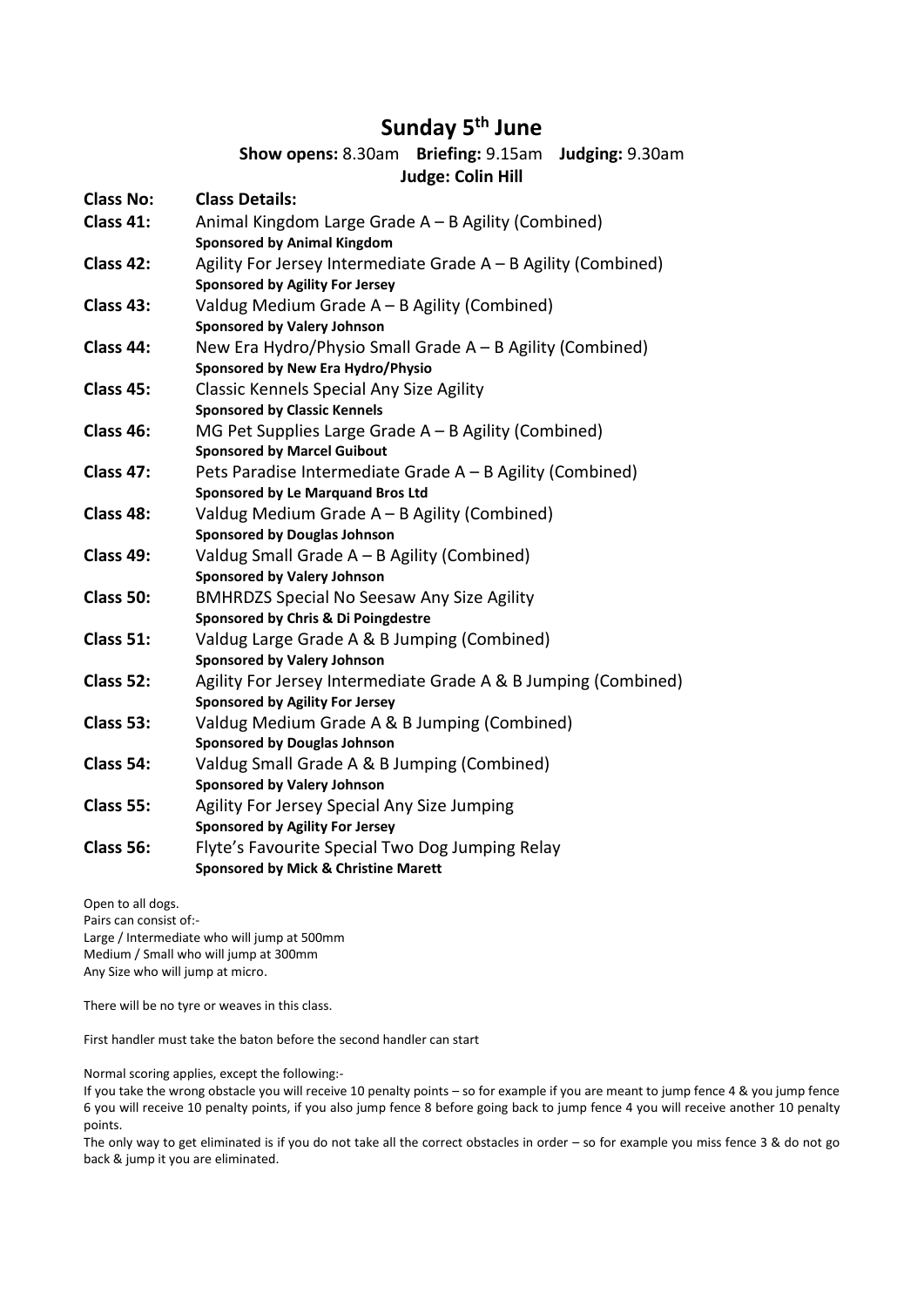### **Sunday 5 th June**

#### **Show opens:** 8.30am **Briefing:** 9.15am **Judging:** 9.30am **Judge: Colin Hill**

| <b>Class No:</b> | <b>Class Details:</b>                                                                     |
|------------------|-------------------------------------------------------------------------------------------|
| Class 41:        | Animal Kingdom Large Grade A - B Agility (Combined)<br><b>Sponsored by Animal Kingdom</b> |
| Class 42:        | Agility For Jersey Intermediate Grade A - B Agility (Combined)                            |
|                  | <b>Sponsored by Agility For Jersey</b>                                                    |
| Class 43:        | Valdug Medium Grade A - B Agility (Combined)                                              |
|                  | <b>Sponsored by Valery Johnson</b>                                                        |
| Class 44:        | New Era Hydro/Physio Small Grade A - B Agility (Combined)                                 |
|                  | Sponsored by New Era Hydro/Physio                                                         |
| Class 45:        | <b>Classic Kennels Special Any Size Agility</b>                                           |
|                  | <b>Sponsored by Classic Kennels</b>                                                       |
| Class 46:        | MG Pet Supplies Large Grade $A - B$ Agility (Combined)                                    |
|                  | <b>Sponsored by Marcel Guibout</b>                                                        |
| Class 47:        | Pets Paradise Intermediate Grade A - B Agility (Combined)                                 |
|                  | <b>Sponsored by Le Marquand Bros Ltd</b>                                                  |
| Class 48:        | Valdug Medium Grade A - B Agility (Combined)                                              |
|                  | <b>Sponsored by Douglas Johnson</b>                                                       |
| Class 49:        | Valdug Small Grade A - B Agility (Combined)                                               |
|                  | <b>Sponsored by Valery Johnson</b>                                                        |
| Class 50:        | <b>BMHRDZS Special No Seesaw Any Size Agility</b>                                         |
|                  | Sponsored by Chris & Di Poingdestre                                                       |
| Class 51:        | Valdug Large Grade A & B Jumping (Combined)                                               |
|                  | <b>Sponsored by Valery Johnson</b>                                                        |
| Class 52:        | Agility For Jersey Intermediate Grade A & B Jumping (Combined)                            |
|                  | <b>Sponsored by Agility For Jersey</b>                                                    |
| Class 53:        | Valdug Medium Grade A & B Jumping (Combined)                                              |
|                  | <b>Sponsored by Douglas Johnson</b>                                                       |
| Class 54:        | Valdug Small Grade A & B Jumping (Combined)                                               |
|                  | <b>Sponsored by Valery Johnson</b>                                                        |
| Class 55:        | Agility For Jersey Special Any Size Jumping                                               |
|                  | <b>Sponsored by Agility For Jersey</b>                                                    |
| Class 56:        | Flyte's Favourite Special Two Dog Jumping Relay                                           |
|                  | <b>Sponsored by Mick &amp; Christine Marett</b>                                           |

Open to all dogs.

Pairs can consist of:- Large / Intermediate who will jump at 500mm Medium / Small who will jump at 300mm Any Size who will jump at micro.

There will be no tyre or weaves in this class.

First handler must take the baton before the second handler can start

Normal scoring applies, except the following:-

If you take the wrong obstacle you will receive 10 penalty points – so for example if you are meant to jump fence 4 & you jump fence 6 you will receive 10 penalty points, if you also jump fence 8 before going back to jump fence 4 you will receive another 10 penalty points.

The only way to get eliminated is if you do not take all the correct obstacles in order – so for example you miss fence 3 & do not go back & jump it you are eliminated.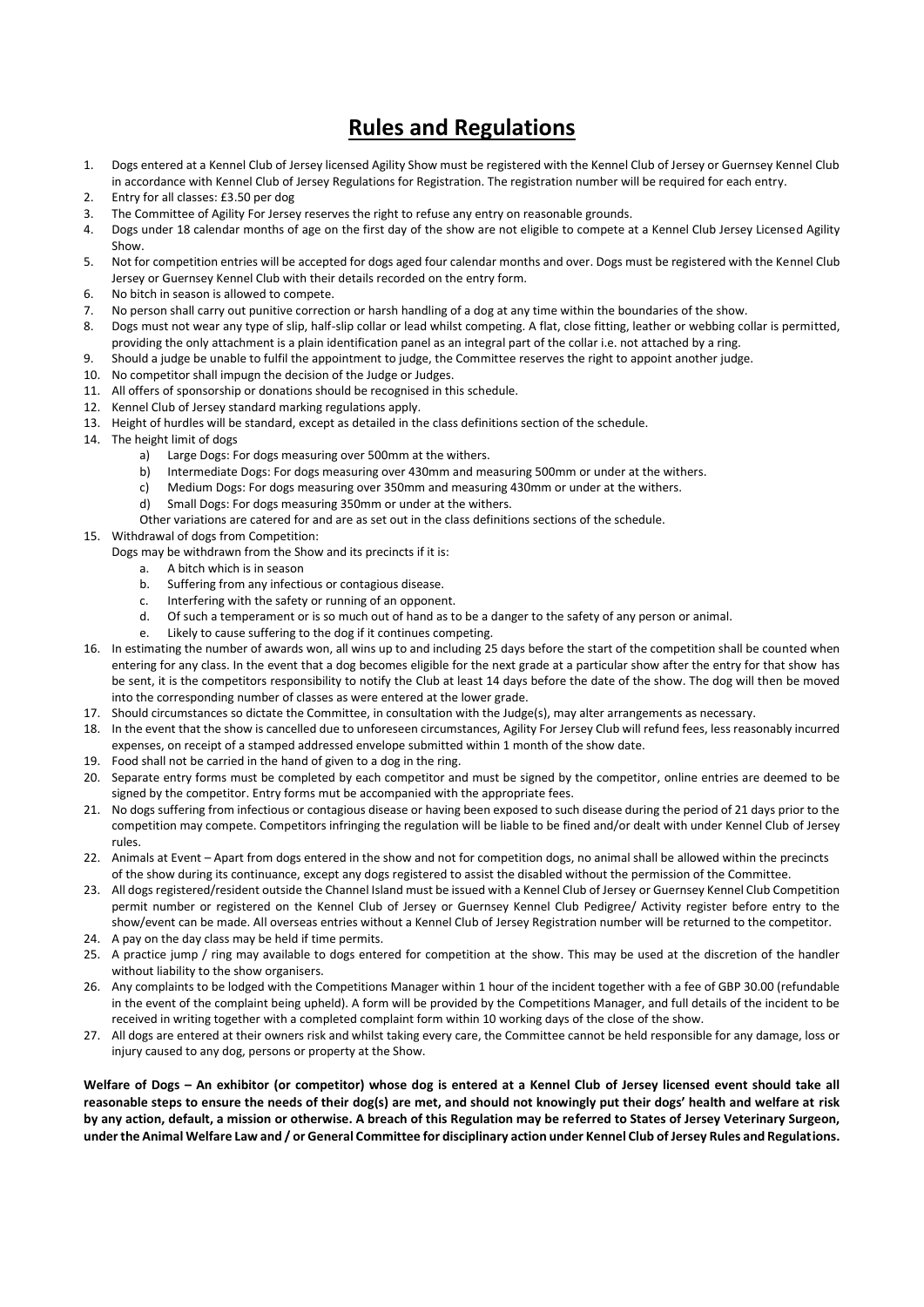### **Rules and Regulations**

- 1. Dogs entered at a Kennel Club of Jersey licensed Agility Show must be registered with the Kennel Club of Jersey or Guernsey Kennel Club in accordance with Kennel Club of Jersey Regulations for Registration. The registration number will be required for each entry.
- 2. Entry for all classes: £3.50 per dog
- 3. The Committee of Agility For Jersey reserves the right to refuse any entry on reasonable grounds.
- 4. Dogs under 18 calendar months of age on the first day of the show are not eligible to compete at a Kennel Club Jersey Licensed Agility Show.
- 5. Not for competition entries will be accepted for dogs aged four calendar months and over. Dogs must be registered with the Kennel Club Jersey or Guernsey Kennel Club with their details recorded on the entry form.
- 6. No bitch in season is allowed to compete.
- 7. No person shall carry out punitive correction or harsh handling of a dog at any time within the boundaries of the show.
- 8. Dogs must not wear any type of slip, half-slip collar or lead whilst competing. A flat, close fitting, leather or webbing collar is permitted, providing the only attachment is a plain identification panel as an integral part of the collar i.e. not attached by a ring.
- 9. Should a judge be unable to fulfil the appointment to judge, the Committee reserves the right to appoint another judge.
- 10. No competitor shall impugn the decision of the Judge or Judges.
- 11. All offers of sponsorship or donations should be recognised in this schedule.
- 12. Kennel Club of Jersey standard marking regulations apply.
- 13. Height of hurdles will be standard, except as detailed in the class definitions section of the schedule.
- 14. The height limit of dogs
	- a) Large Dogs: For dogs measuring over 500mm at the withers.
	- b) Intermediate Dogs: For dogs measuring over 430mm and measuring 500mm or under at the withers.
	- c) Medium Dogs: For dogs measuring over 350mm and measuring 430mm or under at the withers.
	- d) Small Dogs: For dogs measuring 350mm or under at the withers.
	- Other variations are catered for and are as set out in the class definitions sections of the schedule.
- 15. Withdrawal of dogs from Competition:
	- Dogs may be withdrawn from the Show and its precincts if it is:
		- a. A bitch which is in season
		- b. Suffering from any infectious or contagious disease.
		- c. Interfering with the safety or running of an opponent.
		- d. Of such a temperament or is so much out of hand as to be a danger to the safety of any person or animal.
		- e. Likely to cause suffering to the dog if it continues competing.
- 16. In estimating the number of awards won, all wins up to and including 25 days before the start of the competition shall be counted when entering for any class. In the event that a dog becomes eligible for the next grade at a particular show after the entry for that show has be sent, it is the competitors responsibility to notify the Club at least 14 days before the date of the show. The dog will then be moved into the corresponding number of classes as were entered at the lower grade.
- 17. Should circumstances so dictate the Committee, in consultation with the Judge(s), may alter arrangements as necessary.
- 18. In the event that the show is cancelled due to unforeseen circumstances, Agility For Jersey Club will refund fees, less reasonably incurred expenses, on receipt of a stamped addressed envelope submitted within 1 month of the show date.
- 19. Food shall not be carried in the hand of given to a dog in the ring.
- 20. Separate entry forms must be completed by each competitor and must be signed by the competitor, online entries are deemed to be signed by the competitor. Entry forms mut be accompanied with the appropriate fees.
- 21. No dogs suffering from infectious or contagious disease or having been exposed to such disease during the period of 21 days prior to the competition may compete. Competitors infringing the regulation will be liable to be fined and/or dealt with under Kennel Club of Jersey rules.
- 22. Animals at Event Apart from dogs entered in the show and not for competition dogs, no animal shall be allowed within the precincts of the show during its continuance, except any dogs registered to assist the disabled without the permission of the Committee.
- 23. All dogs registered/resident outside the Channel Island must be issued with a Kennel Club of Jersey or Guernsey Kennel Club Competition permit number or registered on the Kennel Club of Jersey or Guernsey Kennel Club Pedigree/ Activity register before entry to the show/event can be made. All overseas entries without a Kennel Club of Jersey Registration number will be returned to the competitor.
- 24. A pay on the day class may be held if time permits.
- 25. A practice jump / ring may available to dogs entered for competition at the show. This may be used at the discretion of the handler without liability to the show organisers.
- 26. Any complaints to be lodged with the Competitions Manager within 1 hour of the incident together with a fee of GBP 30.00 (refundable in the event of the complaint being upheld). A form will be provided by the Competitions Manager, and full details of the incident to be received in writing together with a completed complaint form within 10 working days of the close of the show.
- 27. All dogs are entered at their owners risk and whilst taking every care, the Committee cannot be held responsible for any damage, loss or injury caused to any dog, persons or property at the Show.

**Welfare of Dogs – An exhibitor (or competitor) whose dog is entered at a Kennel Club of Jersey licensed event should take all reasonable steps to ensure the needs of their dog(s) are met, and should not knowingly put their dogs' health and welfare at risk by any action, default, a mission or otherwise. A breach of this Regulation may be referred to States of Jersey Veterinary Surgeon, under the Animal Welfare Law and / or General Committee for disciplinary action under Kennel Club of Jersey Rules and Regulations.**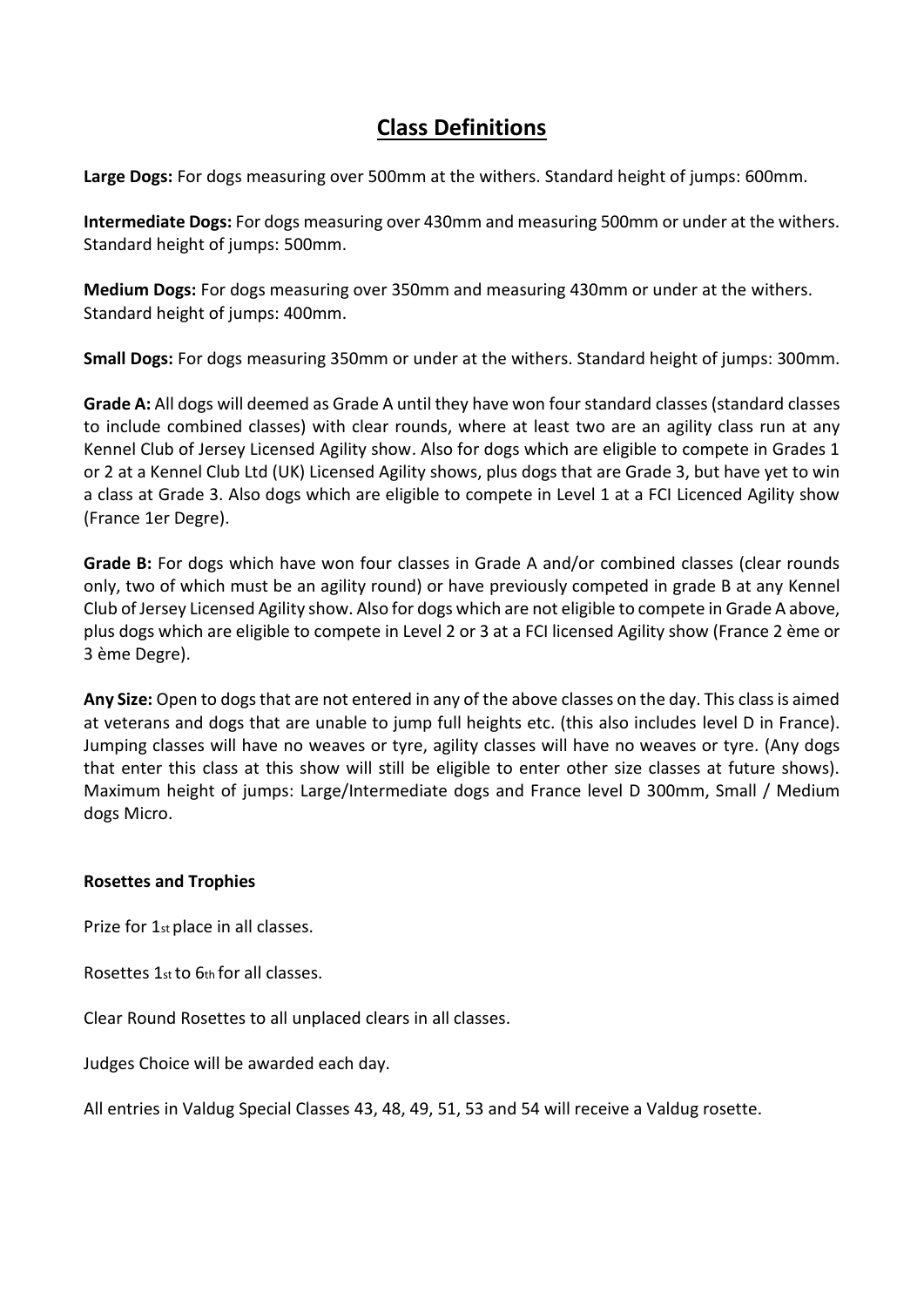### **Class Definitions**

**Large Dogs:** For dogs measuring over 500mm at the withers. Standard height of jumps: 600mm.

**Intermediate Dogs:** For dogs measuring over 430mm and measuring 500mm or under at the withers. Standard height of jumps: 500mm.

**Medium Dogs:** For dogs measuring over 350mm and measuring 430mm or under at the withers. Standard height of jumps: 400mm.

**Small Dogs:** For dogs measuring 350mm or under at the withers. Standard height of jumps: 300mm.

**Grade A:** All dogs will deemed as Grade A until they have won four standard classes (standard classes to include combined classes) with clear rounds, where at least two are an agility class run at any Kennel Club of Jersey Licensed Agility show. Also for dogs which are eligible to compete in Grades 1 or 2 at a Kennel Club Ltd (UK) Licensed Agility shows, plus dogs that are Grade 3, but have yet to win a class at Grade 3. Also dogs which are eligible to compete in Level 1 at a FCI Licenced Agility show (France 1er Degre).

**Grade B:** For dogs which have won four classes in Grade A and/or combined classes (clear rounds only, two of which must be an agility round) or have previously competed in grade B at any Kennel Club of Jersey Licensed Agility show. Also for dogs which are not eligible to compete in Grade A above, plus dogs which are eligible to compete in Level 2 or 3 at a FCI licensed Agility show (France 2 ѐme or 3 ѐme Degre).

**Any Size:** Open to dogs that are not entered in any of the above classes on the day. This class is aimed at veterans and dogs that are unable to jump full heights etc. (this also includes level D in France). Jumping classes will have no weaves or tyre, agility classes will have no weaves or tyre. (Any dogs that enter this class at this show will still be eligible to enter other size classes at future shows). Maximum height of jumps: Large/Intermediate dogs and France level D 300mm, Small / Medium dogs Micro.

#### **Rosettes and Trophies**

Prize for 1st place in all classes.

Rosettes 1st to 6th for all classes.

Clear Round Rosettes to all unplaced clears in all classes.

Judges Choice will be awarded each day.

All entries in Valdug Special Classes 43, 48, 49, 51, 53 and 54 will receive a Valdug rosette.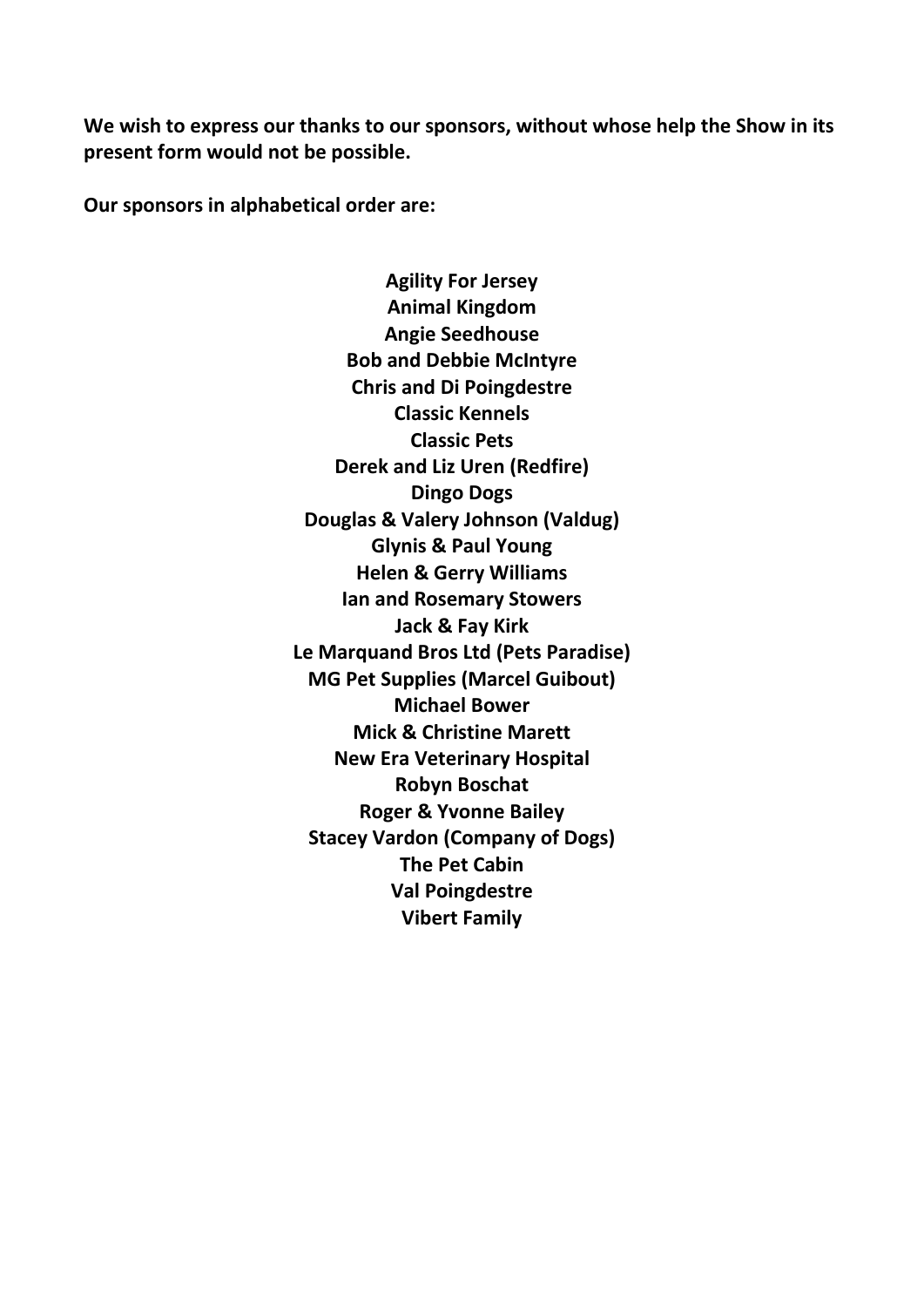**We wish to express our thanks to our sponsors, without whose help the Show in its present form would not be possible.**

**Our sponsors in alphabetical order are:**

**Agility For Jersey Animal Kingdom Angie Seedhouse Bob and Debbie McIntyre Chris and Di Poingdestre Classic Kennels Classic Pets Derek and Liz Uren (Redfire) Dingo Dogs Douglas & Valery Johnson (Valdug) Glynis & Paul Young Helen & Gerry Williams Ian and Rosemary Stowers Jack & Fay Kirk Le Marquand Bros Ltd (Pets Paradise) MG Pet Supplies (Marcel Guibout) Michael Bower Mick & Christine Marett New Era Veterinary Hospital Robyn Boschat Roger & Yvonne Bailey Stacey Vardon (Company of Dogs) The Pet Cabin Val Poingdestre Vibert Family**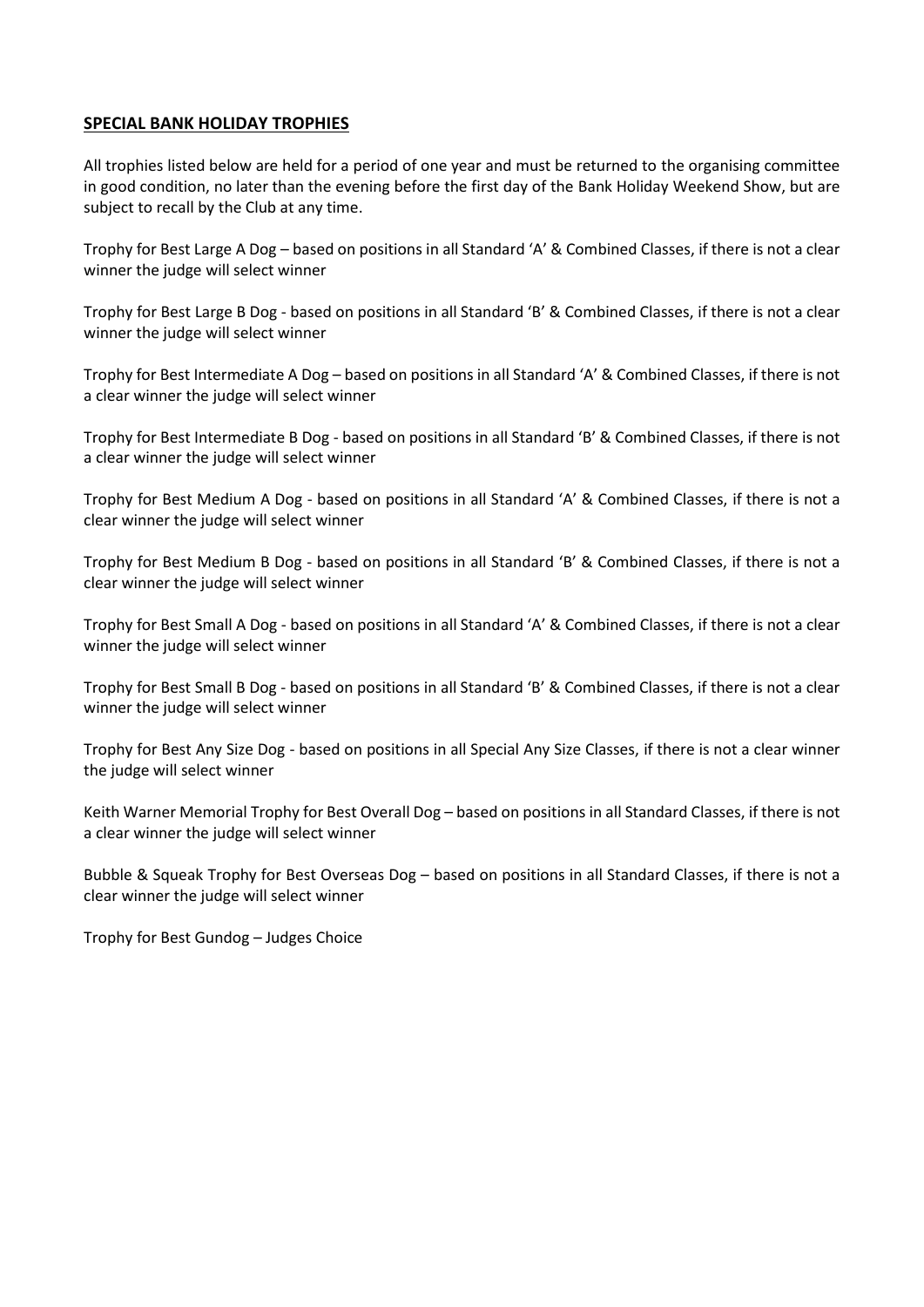#### **SPECIAL BANK HOLIDAY TROPHIES**

All trophies listed below are held for a period of one year and must be returned to the organising committee in good condition, no later than the evening before the first day of the Bank Holiday Weekend Show, but are subject to recall by the Club at any time.

Trophy for Best Large A Dog – based on positions in all Standard 'A' & Combined Classes, if there is not a clear winner the judge will select winner

Trophy for Best Large B Dog - based on positions in all Standard 'B' & Combined Classes, if there is not a clear winner the judge will select winner

Trophy for Best Intermediate A Dog – based on positions in all Standard 'A' & Combined Classes, if there is not a clear winner the judge will select winner

Trophy for Best Intermediate B Dog - based on positions in all Standard 'B' & Combined Classes, if there is not a clear winner the judge will select winner

Trophy for Best Medium A Dog - based on positions in all Standard 'A' & Combined Classes, if there is not a clear winner the judge will select winner

Trophy for Best Medium B Dog - based on positions in all Standard 'B' & Combined Classes, if there is not a clear winner the judge will select winner

Trophy for Best Small A Dog - based on positions in all Standard 'A' & Combined Classes, if there is not a clear winner the judge will select winner

Trophy for Best Small B Dog - based on positions in all Standard 'B' & Combined Classes, if there is not a clear winner the judge will select winner

Trophy for Best Any Size Dog - based on positions in all Special Any Size Classes, if there is not a clear winner the judge will select winner

Keith Warner Memorial Trophy for Best Overall Dog – based on positions in all Standard Classes, if there is not a clear winner the judge will select winner

Bubble & Squeak Trophy for Best Overseas Dog – based on positions in all Standard Classes, if there is not a clear winner the judge will select winner

Trophy for Best Gundog – Judges Choice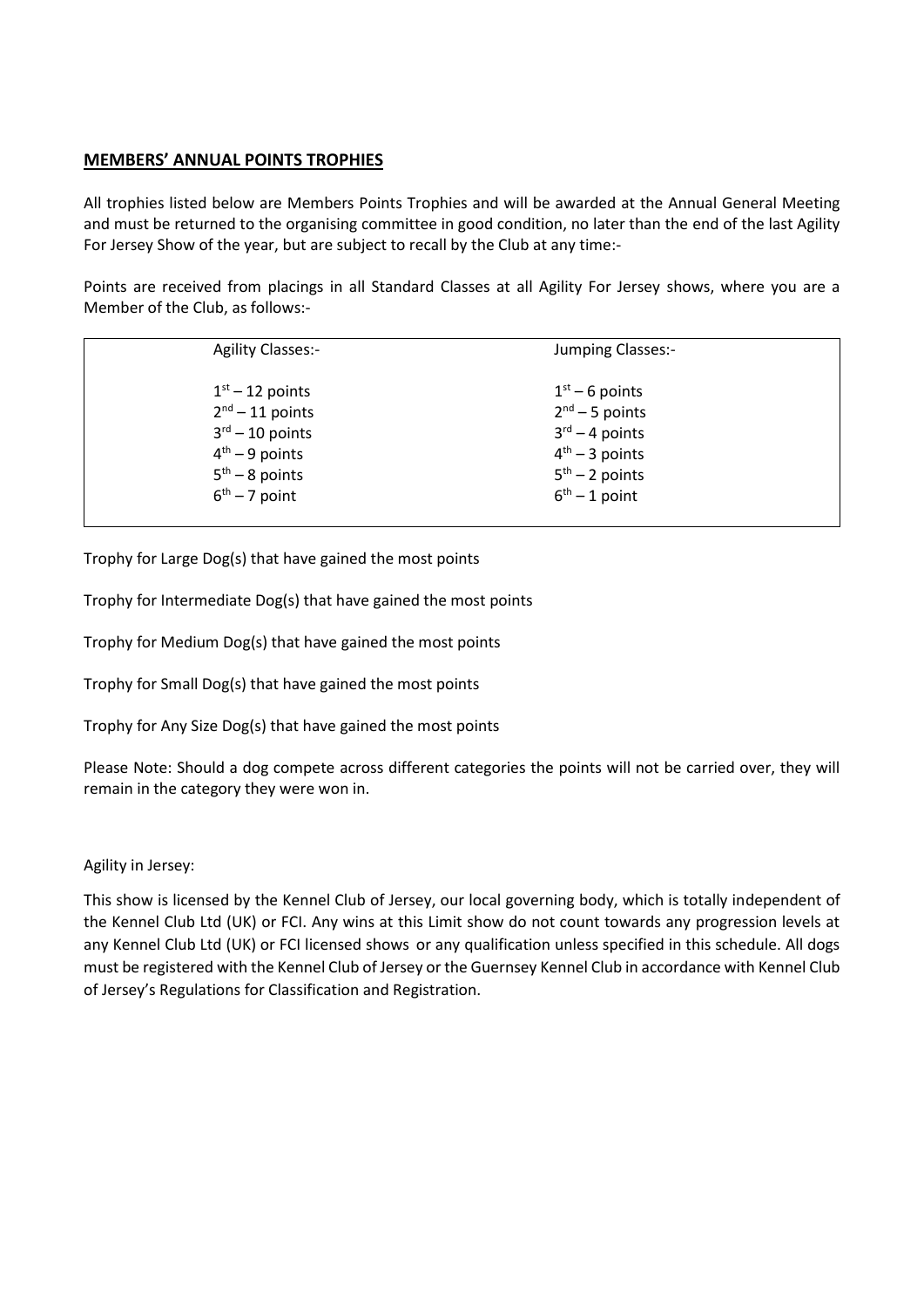#### **MEMBERS' ANNUAL POINTS TROPHIES**

All trophies listed below are Members Points Trophies and will be awarded at the Annual General Meeting and must be returned to the organising committee in good condition, no later than the end of the last Agility For Jersey Show of the year, but are subject to recall by the Club at any time:-

Points are received from placings in all Standard Classes at all Agility For Jersey shows, where you are a Member of the Club, as follows:-

| <b>Agility Classes:-</b>    | Jumping Classes:-          |  |
|-----------------------------|----------------------------|--|
| $1st - 12$ points           | $1st - 6$ points           |  |
| $2nd - 11$ points           | $2nd - 5$ points           |  |
| $3^{\text{rd}} - 10$ points | $3^{\text{rd}} - 4$ points |  |
| $4th - 9$ points            | $4th - 3$ points           |  |
| $5th - 8$ points            | $5th - 2$ points           |  |
| $6th - 7$ point             | $6th - 1$ point            |  |
|                             |                            |  |

Trophy for Large Dog(s) that have gained the most points

Trophy for Intermediate Dog(s) that have gained the most points

Trophy for Medium Dog(s) that have gained the most points

Trophy for Small Dog(s) that have gained the most points

Trophy for Any Size Dog(s) that have gained the most points

Please Note: Should a dog compete across different categories the points will not be carried over, they will remain in the category they were won in.

#### Agility in Jersey:

This show is licensed by the Kennel Club of Jersey, our local governing body, which is totally independent of the Kennel Club Ltd (UK) or FCI. Any wins at this Limit show do not count towards any progression levels at any Kennel Club Ltd (UK) or FCI licensed shows or any qualification unless specified in this schedule. All dogs must be registered with the Kennel Club of Jersey or the Guernsey Kennel Club in accordance with Kennel Club of Jersey's Regulations for Classification and Registration.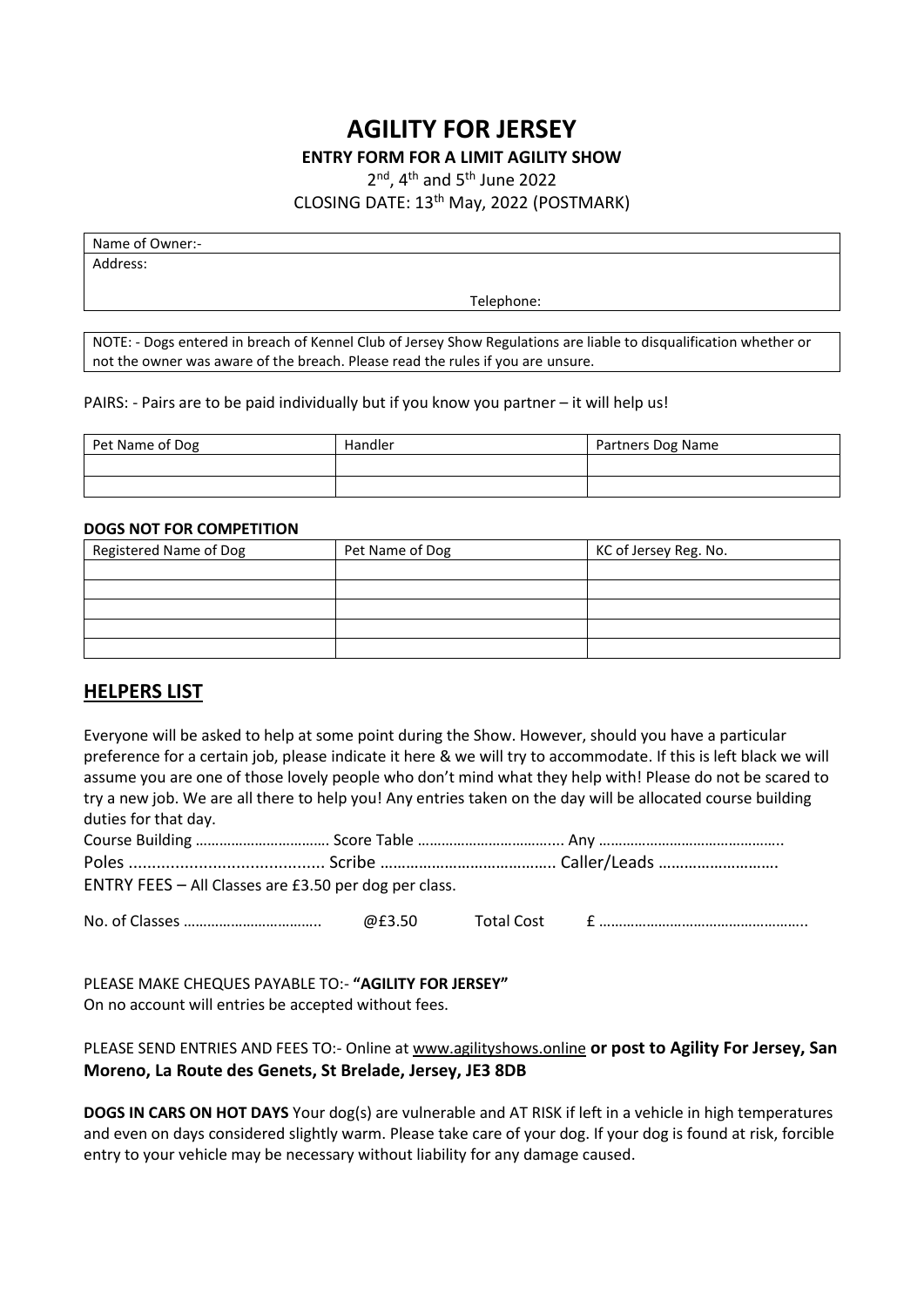### **AGILITY FOR JERSEY**

#### **ENTRY FORM FOR A LIMIT AGILITY SHOW**

2<sup>nd</sup>, 4<sup>th</sup> and 5<sup>th</sup> June 2022

CLOSING DATE: 13th May, 2022 (POSTMARK)

Name of Owner:-

Address:

Telephone:

NOTE: - Dogs entered in breach of Kennel Club of Jersey Show Regulations are liable to disqualification whether or not the owner was aware of the breach. Please read the rules if you are unsure.

PAIRS: - Pairs are to be paid individually but if you know you partner – it will help us!

| Pet Name of Dog | Handler | Partners Dog Name |
|-----------------|---------|-------------------|
|                 |         |                   |
|                 |         |                   |

#### **DOGS NOT FOR COMPETITION**

| Registered Name of Dog | Pet Name of Dog | KC of Jersey Reg. No. |
|------------------------|-----------------|-----------------------|
|                        |                 |                       |
|                        |                 |                       |
|                        |                 |                       |
|                        |                 |                       |
|                        |                 |                       |

#### **HELPERS LIST**

| Everyone will be asked to help at some point during the Show. However, should you have a particular |  | preference for a certain job, please indicate it here & we will try to accommodate. If this is left black we will<br>assume you are one of those lovely people who don't mind what they help with! Please do not be scared to<br>try a new job. We are all there to help you! Any entries taken on the day will be allocated course building |
|-----------------------------------------------------------------------------------------------------|--|----------------------------------------------------------------------------------------------------------------------------------------------------------------------------------------------------------------------------------------------------------------------------------------------------------------------------------------------|
|                                                                                                     |  |                                                                                                                                                                                                                                                                                                                                              |
| duties for that day.                                                                                |  |                                                                                                                                                                                                                                                                                                                                              |
|                                                                                                     |  |                                                                                                                                                                                                                                                                                                                                              |
|                                                                                                     |  |                                                                                                                                                                                                                                                                                                                                              |
| ENTRY FEES - All Classes are £3.50 per dog per class.                                               |  |                                                                                                                                                                                                                                                                                                                                              |
|                                                                                                     |  |                                                                                                                                                                                                                                                                                                                                              |

PLEASE MAKE CHEQUES PAYABLE TO:- **"AGILITY FOR JERSEY"** On no account will entries be accepted without fees.

PLEASE SEND ENTRIES AND FEES TO:- Online at [www.agilityshows.online](http://www.agilityshows.online/) **or post to Agility For Jersey, San Moreno, La Route des Genets, St Brelade, Jersey, JE3 8DB**

**DOGS IN CARS ON HOT DAYS** Your dog(s) are vulnerable and AT RISK if left in a vehicle in high temperatures and even on days considered slightly warm. Please take care of your dog. If your dog is found at risk, forcible entry to your vehicle may be necessary without liability for any damage caused.